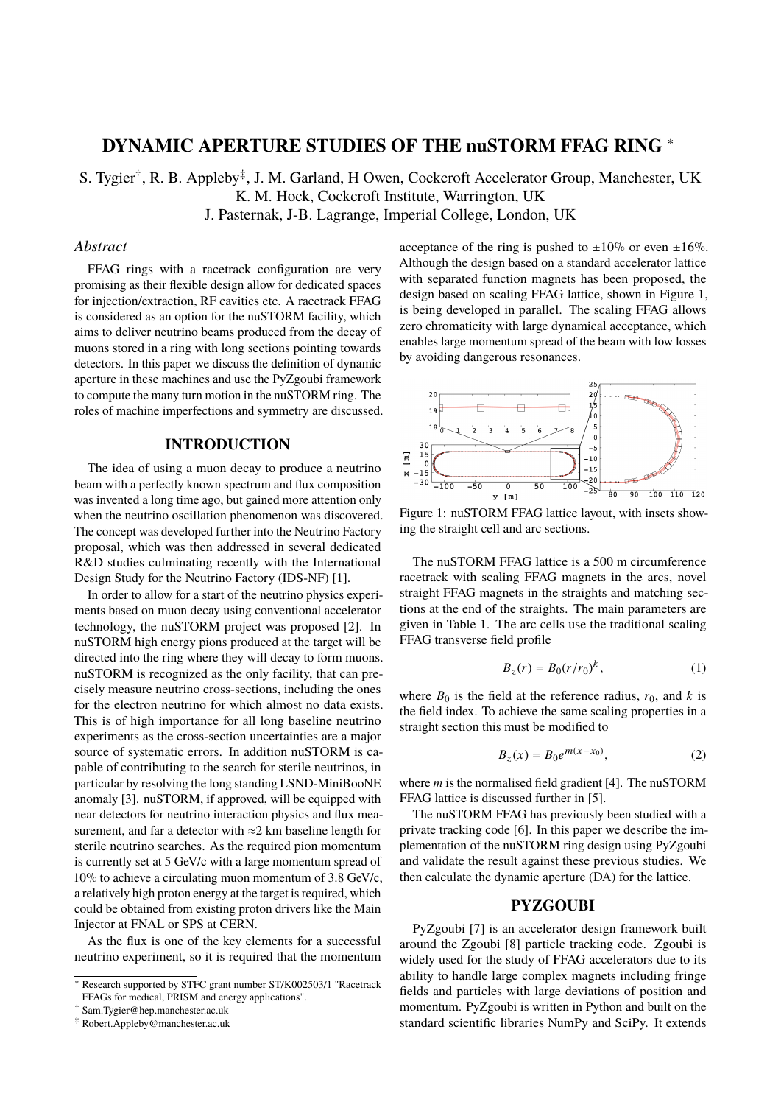# **DYNAMIC APERTURE STUDIES OF THE nuSTORM FFAG RING** <sup>∗</sup>

S. Tygier<sup>†</sup>, R. B. Appleby<sup>‡</sup>, J. M. Garland, H Owen, Cockcroft Accelerator Group, Manchester, UK K. M. Hock, Cockcroft Institute, Warrington, UK J. Pasternak, J-B. Lagrange, Imperial College, London, UK

#### *Abstract*

FFAG rings with a racetrack configuration are very promising as their flexible design allow for dedicated spaces for injection/extraction, RF cavities etc. A racetrack FFAG is considered as an option for the nuSTORM facility, which aims to deliver neutrino beams produced from the decay of muons stored in a ring with long sections pointing towards detectors. In this paper we discuss the definition of dynamic aperture in these machines and use the PyZgoubi framework to compute the many turn motion in the nuSTORM ring. The roles of machine imperfections and symmetry are discussed.

## **INTRODUCTION**

The idea of using a muon decay to produce a neutrino beam with a perfectly known spectrum and flux composition was invented a long time ago, but gained more attention only when the neutrino oscillation phenomenon was discovered. The concept was developed further into the Neutrino Factory proposal, which was then addressed in several dedicated R&D studies culminating recently with the International Design Study for the Neutrino Factory (IDS-NF) [1].

In order to allow for a start of the neutrino physics experiments based on muon decay using conventional accelerator technology, the nuSTORM project was proposed [2]. In nuSTORM high energy pions produced at the target will be directed into the ring where they will decay to form muons. nuSTORM is recognized as the only facility, that can precisely measure neutrino cross-sections, including the ones for the electron neutrino for which almost no data exists. This is of high importance for all long baseline neutrino experiments as the cross-section uncertainties are a major source of systematic errors. In addition nuSTORM is capable of contributing to the search for sterile neutrinos, in particular by resolving the long standing LSND-MiniBooNE anomaly [3]. nuSTORM, if approved, will be equipped with near detectors for neutrino interaction physics and flux measurement, and far a detector with  $\approx$ 2 km baseline length for sterile neutrino searches. As the required pion momentum is currently set at 5 GeV/c with a large momentum spread of 10% to achieve a circulating muon momentum of 3.8 GeV/c, a relatively high proton energy at the target is required, which could be obtained from existing proton drivers like the Main Injector at FNAL or SPS at CERN.

As the flux is one of the key elements for a successful neutrino experiment, so it is required that the momentum

† Sam.Tygier@hep.manchester.ac.uk

acceptance of the ring is pushed to  $\pm 10\%$  or even  $\pm 16\%$ . Although the design based on a standard accelerator lattice with separated function magnets has been proposed, the design based on scaling FFAG lattice, shown in Figure 1, is being developed in parallel. The scaling FFAG allows zero chromaticity with large dynamical acceptance, which enables large momentum spread of the beam with low losses by avoiding dangerous resonances.



Figure 1: nuSTORM FFAG lattice layout, with insets showing the straight cell and arc sections.

The nuSTORM FFAG lattice is a 500 m circumference racetrack with scaling FFAG magnets in the arcs, novel straight FFAG magnets in the straights and matching sections at the end of the straights. The main parameters are given in Table 1. The arc cells use the traditional scaling FFAG transverse field profile

$$
B_z(r) = B_0(r/r_0)^k, \t\t(1)
$$

where  $B_0$  is the field at the reference radius,  $r_0$ , and k is the field index. To achieve the same scaling properties in a straight section this must be modified to

$$
B_z(x) = B_0 e^{m(x - x_0)},
$$
 (2)

where  $m$  is the normalised field gradient [4]. The nuSTORM FFAG lattice is discussed further in [5].

The nuSTORM FFAG has previously been studied with a private tracking code [6]. In this paper we describe the implementation of the nuSTORM ring design using PyZgoubi and validate the result against these previous studies. We then calculate the dynamic aperture (DA) for the lattice.

#### **PYZGOUBI**

PyZgoubi [7] is an accelerator design framework built around the Zgoubi [8] particle tracking code. Zgoubi is widely used for the study of FFAG accelerators due to its ability to handle large complex magnets including fringe fields and particles with large deviations of position and momentum. PyZgoubi is written in Python and built on the standard scientific libraries NumPy and SciPy. It extends

<sup>∗</sup> Research supported by STFC grant number ST/K002503/1 "Racetrack FFAGs for medical, PRISM and energy applications".

<sup>‡</sup> Robert.Appleby@manchester.ac.uk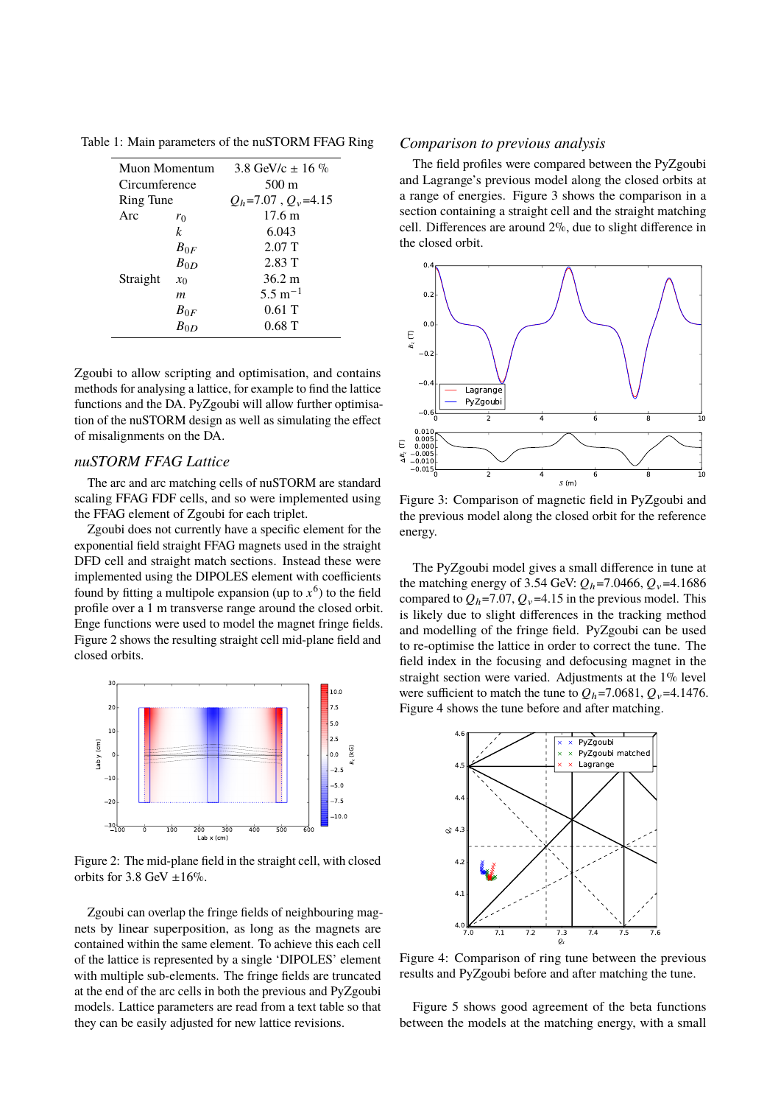| Muon Momentum |          | 3.8 GeV/c $\pm$ 16 %     |
|---------------|----------|--------------------------|
| Circumference |          | 500 m                    |
| Ring Tune     |          | $Q_h$ =7.07, $Q_v$ =4.15 |
| Arc           | $r_0$    | 17.6 m                   |
|               | k        | 6.043                    |
|               | $B_{0F}$ | 2.07T                    |
| Straight      | $B_{0D}$ | 2.83T                    |
|               | $x_0$    | $36.2 \text{ m}$         |
|               | m        | $5.5 \text{ m}^{-1}$     |
|               | $B_{0F}$ | 0.61T                    |
|               | $B_{0D}$ | 0.68T                    |
|               |          |                          |

Table 1: Main parameters of the nuSTORM FFAG Ring

Zgoubi to allow scripting and optimisation, and contains methods for analysing a lattice, for example to find the lattice functions and the DA. PyZgoubi will allow further optimisation of the nuSTORM design as well as simulating the effect of misalignments on the DA.

#### *nuSTORM FFAG Lattice*

The arc and arc matching cells of nuSTORM are standard scaling FFAG FDF cells, and so were implemented using the FFAG element of Zgoubi for each triplet.

Zgoubi does not currently have a specific element for the exponential field straight FFAG magnets used in the straight DFD cell and straight match sections. Instead these were implemented using the DIPOLES element with coefficients found by fitting a multipole expansion (up to  $x^6$ ) to the field profile over a 1 m transverse range around the closed orbit. Enge functions were used to model the magnet fringe fields. Figure 2 shows the resulting straight cell mid-plane field and closed orbits.



Figure 2: The mid-plane field in the straight cell, with closed orbits for 3.8 GeV  $\pm 16\%$ .

Zgoubi can overlap the fringe fields of neighbouring magnets by linear superposition, as long as the magnets are contained within the same element. To achieve this each cell of the lattice is represented by a single 'DIPOLES' element with multiple sub-elements. The fringe fields are truncated at the end of the arc cells in both the previous and PyZgoubi models. Lattice parameters are read from a text table so that they can be easily adjusted for new lattice revisions.

#### *Comparison to previous analysis*

The field profiles were compared between the PyZgoubi and Lagrange's previous model along the closed orbits at a range of energies. Figure 3 shows the comparison in a section containing a straight cell and the straight matching cell. Differences are around 2%, due to slight difference in the closed orbit.



Figure 3: Comparison of magnetic field in PyZgoubi and the previous model along the closed orbit for the reference energy.

The PyZgoubi model gives a small difference in tune at the matching energy of 3.54 GeV:  $Q_h$ =7.0466,  $Q_v$ =4.1686 compared to  $Q_h$ =7.07,  $Q_v$ =4.15 in the previous model. This is likely due to slight differences in the tracking method and modelling of the fringe field. PyZgoubi can be used to re-optimise the lattice in order to correct the tune. The field index in the focusing and defocusing magnet in the straight section were varied. Adjustments at the 1% level were sufficient to match the tune to  $Q_h$ =7.0681,  $Q_v$ =4.1476. Figure 4 shows the tune before and after matching.



Figure 4: Comparison of ring tune between the previous results and PyZgoubi before and after matching the tune.

Figure 5 shows good agreement of the beta functions between the models at the matching energy, with a small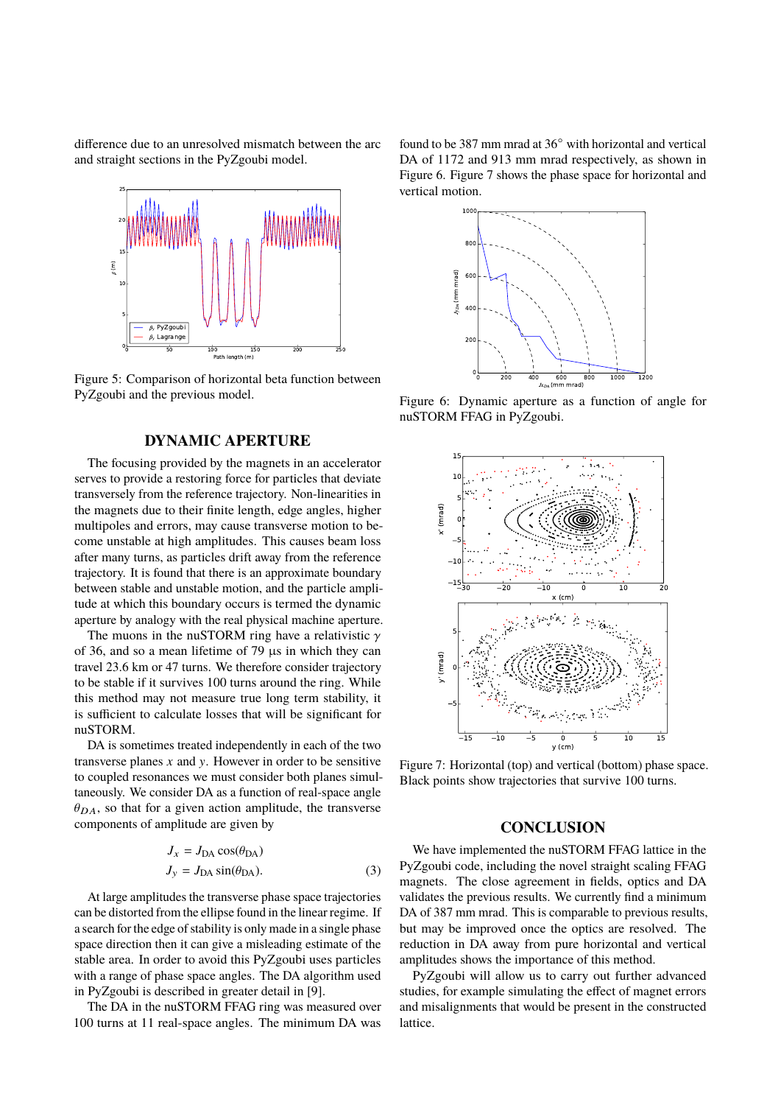difference due to an unresolved mismatch between the arc and straight sections in the PyZgoubi model.



Figure 5: Comparison of horizontal beta function between PyZgoubi and the previous model.

### **DYNAMIC APERTURE**

The focusing provided by the magnets in an accelerator serves to provide a restoring force for particles that deviate transversely from the reference trajectory. Non-linearities in the magnets due to their finite length, edge angles, higher multipoles and errors, may cause transverse motion to become unstable at high amplitudes. This causes beam loss after many turns, as particles drift away from the reference trajectory. It is found that there is an approximate boundary between stable and unstable motion, and the particle amplitude at which this boundary occurs is termed the dynamic aperture by analogy with the real physical machine aperture.

The muons in the nuSTORM ring have a relativistic  $\gamma$ of 36, and so a mean lifetime of 79 µs in which they can travel 23.6 km or 47 turns. We therefore consider trajectory to be stable if it survives 100 turns around the ring. While this method may not measure true long term stability, it is sufficient to calculate losses that will be significant for nuSTORM.

DA is sometimes treated independently in each of the two transverse planes  $x$  and  $y$ . However in order to be sensitive to coupled resonances we must consider both planes simultaneously. We consider DA as a function of real-space angle  $\theta_{DA}$ , so that for a given action amplitude, the transverse components of amplitude are given by

$$
J_x = J_{DA} \cos(\theta_{DA})
$$
  
\n
$$
J_y = J_{DA} \sin(\theta_{DA}).
$$
\n(3)

At large amplitudes the transverse phase space trajectories can be distorted from the ellipse found in the linear regime. If a search for the edge of stability is only made in a single phase space direction then it can give a misleading estimate of the stable area. In order to avoid this PyZgoubi uses particles with a range of phase space angles. The DA algorithm used in PyZgoubi is described in greater detail in [9].

The DA in the nuSTORM FFAG ring was measured over 100 turns at 11 real-space angles. The minimum DA was found to be 387 mm mrad at 36◦ with horizontal and vertical DA of 1172 and 913 mm mrad respectively, as shown in Figure 6. Figure 7 shows the phase space for horizontal and vertical motion.



Figure 6: Dynamic aperture as a function of angle for nuSTORM FFAG in PyZgoubi.



Figure 7: Horizontal (top) and vertical (bottom) phase space. Black points show trajectories that survive 100 turns.

### **CONCLUSION**

We have implemented the nuSTORM FFAG lattice in the PyZgoubi code, including the novel straight scaling FFAG magnets. The close agreement in fields, optics and DA validates the previous results. We currently find a minimum DA of 387 mm mrad. This is comparable to previous results, but may be improved once the optics are resolved. The reduction in DA away from pure horizontal and vertical amplitudes shows the importance of this method.

PyZgoubi will allow us to carry out further advanced studies, for example simulating the effect of magnet errors and misalignments that would be present in the constructed lattice.